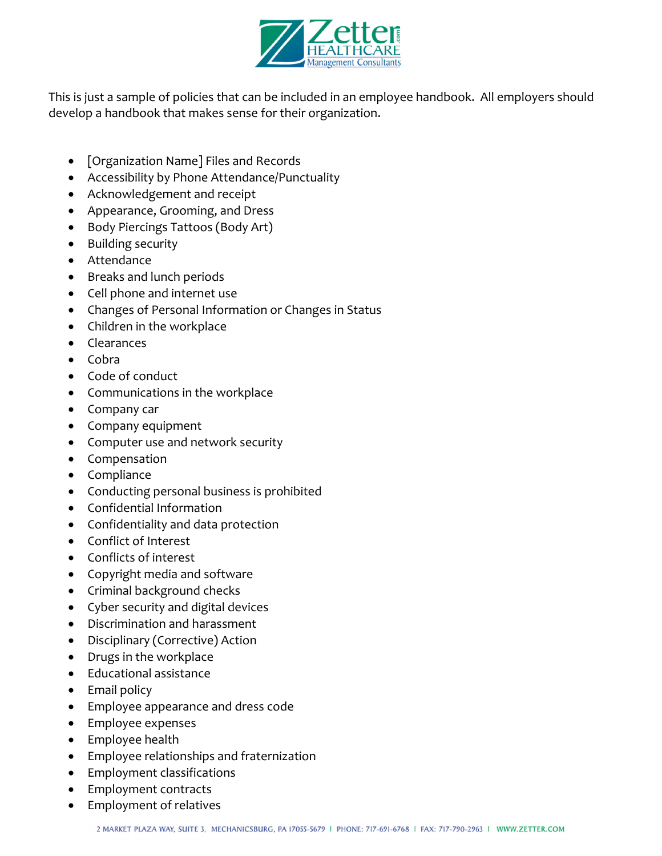

This is just a sample of policies that can be included in an employee handbook. All employers should develop a handbook that makes sense for their organization.

- [Organization Name] Files and Records
- Accessibility by Phone Attendance/Punctuality
- Acknowledgement and receipt
- Appearance, Grooming, and Dress
- Body Piercings Tattoos (Body Art)
- Building security
- Attendance
- Breaks and lunch periods
- Cell phone and internet use
- Changes of Personal Information or Changes in Status
- Children in the workplace
- Clearances
- $\bullet$  Cobra
- Code of conduct
- Communications in the workplace
- Company car
- Company equipment
- Computer use and network security
- Compensation
- Compliance
- Conducting personal business is prohibited
- Confidential Information
- Confidentiality and data protection
- Conflict of Interest
- Conflicts of interest
- Copyright media and software
- Criminal background checks
- Cyber security and digital devices
- Discrimination and harassment
- Disciplinary (Corrective) Action
- Drugs in the workplace
- Educational assistance
- Email policy
- Employee appearance and dress code
- Employee expenses
- Employee health
- Employee relationships and fraternization
- Employment classifications
- Employment contracts
- Employment of relatives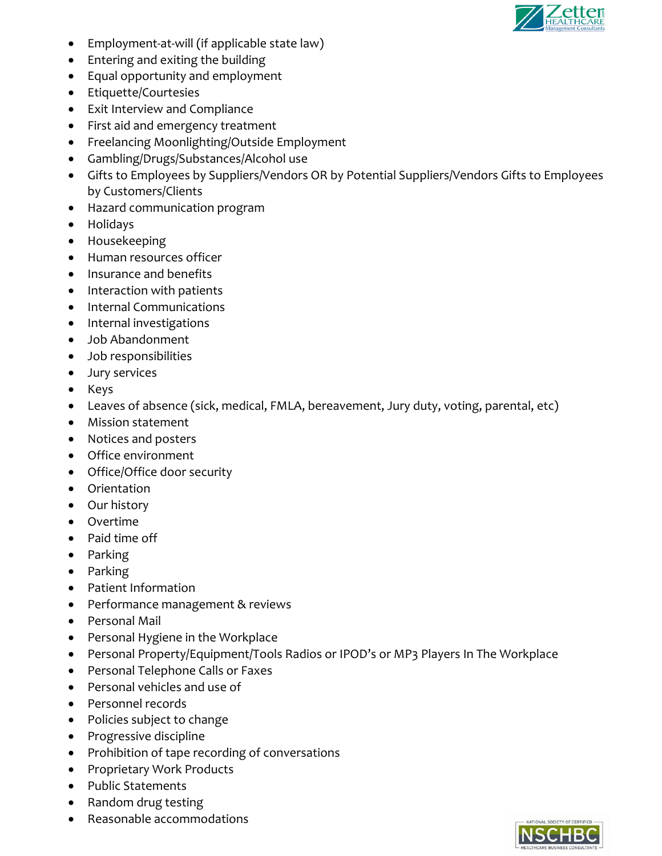

- Employment‐at‐will (if applicable state law)
- Entering and exiting the building
- Equal opportunity and employment
- Etiquette/Courtesies
- Exit Interview and Compliance
- First aid and emergency treatment
- Freelancing Moonlighting/Outside Employment
- Gambling/Drugs/Substances/Alcohol use
- Gifts to Employees by Suppliers/Vendors OR by Potential Suppliers/Vendors Gifts to Employees by Customers/Clients
- Hazard communication program
- Holidays
- Housekeeping
- Human resources officer
- Insurance and benefits
- Interaction with patients
- Internal Communications
- Internal investigations
- Job Abandonment
- Job responsibilities
- Jury services
- Keys
- Leaves of absence (sick, medical, FMLA, bereavement, Jury duty, voting, parental, etc)
- Mission statement
- Notices and posters
- Office environment
- Office/Office door security
- Orientation
- Our history
- Overtime
- Paid time off
- Parking
- Parking
- Patient Information
- Performance management & reviews
- Personal Mail
- Personal Hygiene in the Workplace
- Personal Property/Equipment/Tools Radios or IPOD's or MP3 Players In The Workplace
- Personal Telephone Calls or Faxes
- Personal vehicles and use of
- Personnel records
- Policies subject to change
- Progressive discipline
- Prohibition of tape recording of conversations
- Proprietary Work Products
- Public Statements
- Random drug testing
- Reasonable accommodations